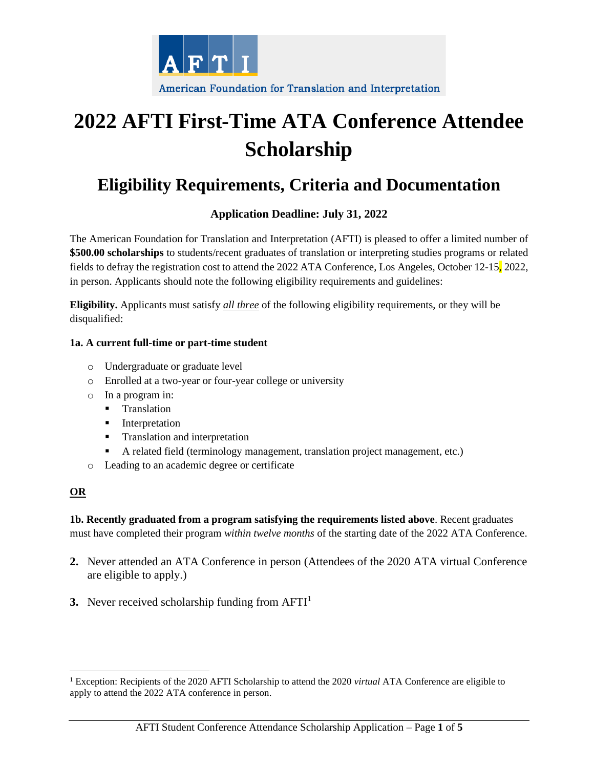

# **2022 AFTI First-Time ATA Conference Attendee Scholarship**

# **Eligibility Requirements, Criteria and Documentation**

## **Application Deadline: July 31, 2022**

The American Foundation for Translation and Interpretation (AFTI) is pleased to offer a limited number of **\$500.00 scholarships** to students/recent graduates of translation or interpreting studies programs or related fields to defray the registration cost to attend the 2022 ATA Conference, Los Angeles, October 12-15, 2022, in person. Applicants should note the following eligibility requirements and guidelines:

**Eligibility.** Applicants must satisfy *all three* of the following eligibility requirements, or they will be disqualified:

#### **1a. A current full-time or part-time student**

- o Undergraduate or graduate level
- o Enrolled at a two-year or four-year college or university
- o In a program in:
	- **•** Translation
	- **■** Interpretation
	- **•** Translation and interpretation
	- A related field (terminology management, translation project management, etc.)
- o Leading to an academic degree or certificate

### **OR**

**1b. Recently graduated from a program satisfying the requirements listed above**. Recent graduates must have completed their program *within twelve months* of the starting date of the 2022 ATA Conference.

- **2.** Never attended an ATA Conference in person (Attendees of the 2020 ATA virtual Conference are eligible to apply.)
- **3.** Never received scholarship funding from  $AFTI<sup>1</sup>$

<sup>1</sup> Exception: Recipients of the 2020 AFTI Scholarship to attend the 2020 *virtual* ATA Conference are eligible to apply to attend the 2022 ATA conference in person.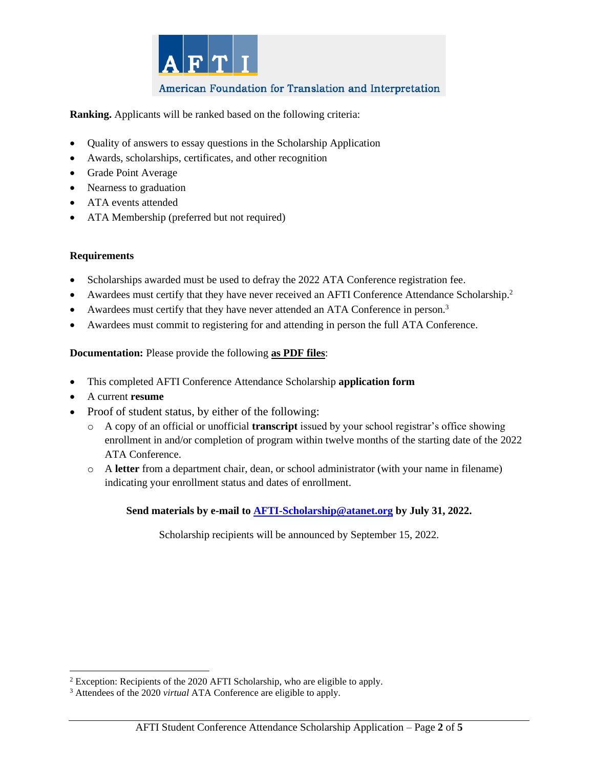

### American Foundation for Translation and Interpretation

**Ranking.** Applicants will be ranked based on the following criteria:

- Quality of answers to essay questions in the Scholarship Application
- Awards, scholarships, certificates, and other recognition
- Grade Point Average
- Nearness to graduation
- ATA events attended
- ATA Membership (preferred but not required)

#### **Requirements**

- Scholarships awarded must be used to defray the 2022 ATA Conference registration fee.
- Awardees must certify that they have never received an AFTI Conference Attendance Scholarship.<sup>2</sup>
- Awardees must certify that they have never attended an ATA Conference in person.<sup>3</sup>
- Awardees must commit to registering for and attending in person the full ATA Conference.

#### **Documentation:** Please provide the following **as PDF files**:

- This completed AFTI Conference Attendance Scholarship **application form**
- A current **resume**
- Proof of student status, by either of the following:
	- o A copy of an official or unofficial **transcript** issued by your school registrar's office showing enrollment in and/or completion of program within twelve months of the starting date of the 2022 ATA Conference.
	- o A **letter** from a department chair, dean, or school administrator (with your name in filename) indicating your enrollment status and dates of enrollment.

#### **Send materials by e-mail to AFTI-Scholarship@atanet.org by July 31, 2022.**

Scholarship recipients will be announced by September 15, 2022.

<sup>&</sup>lt;sup>2</sup> Exception: Recipients of the 2020 AFTI Scholarship, who are eligible to apply.

<sup>3</sup> Attendees of the 2020 *virtual* ATA Conference are eligible to apply.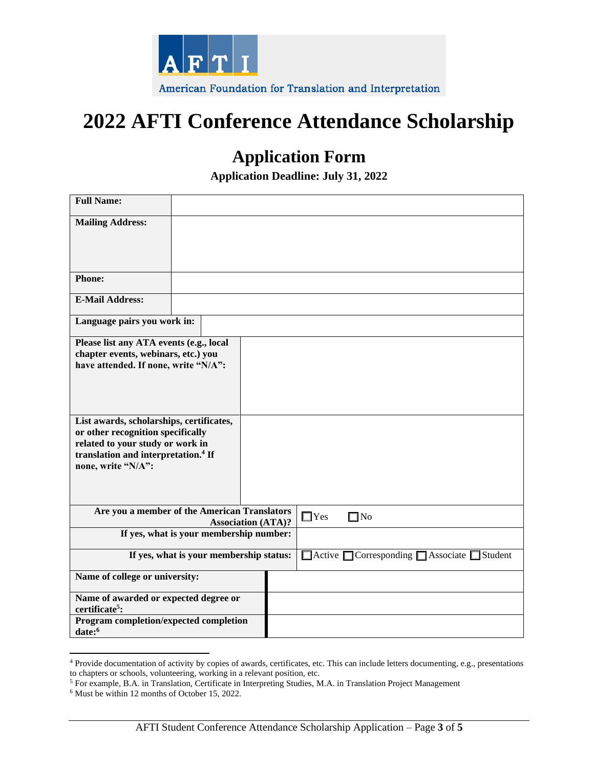

# **2022 AFTI Conference Attendance Scholarship**

# **Application Form**

**Application Deadline: July 31, 2022**

| <b>Full Name:</b>                                                           |                                              |                                                                       |            |
|-----------------------------------------------------------------------------|----------------------------------------------|-----------------------------------------------------------------------|------------|
| <b>Mailing Address:</b>                                                     |                                              |                                                                       |            |
|                                                                             |                                              |                                                                       |            |
|                                                                             |                                              |                                                                       |            |
| <b>Phone:</b>                                                               |                                              |                                                                       |            |
| <b>E-Mail Address:</b>                                                      |                                              |                                                                       |            |
| Language pairs you work in:                                                 |                                              |                                                                       |            |
| Please list any ATA events (e.g., local                                     |                                              |                                                                       |            |
| chapter events, webinars, etc.) you<br>have attended. If none, write "N/A": |                                              |                                                                       |            |
|                                                                             |                                              |                                                                       |            |
|                                                                             |                                              |                                                                       |            |
| List awards, scholarships, certificates,                                    |                                              |                                                                       |            |
| or other recognition specifically<br>related to your study or work in       |                                              |                                                                       |            |
| translation and interpretation. <sup>4</sup> If                             |                                              |                                                                       |            |
| none, write "N/A":                                                          |                                              |                                                                       |            |
|                                                                             |                                              |                                                                       |            |
|                                                                             | Are you a member of the American Translators |                                                                       | $\Box$ Yes |
|                                                                             | <b>Association (ATA)?</b>                    |                                                                       | $\Box$ No  |
|                                                                             | If yes, what is your membership number:      |                                                                       |            |
| If yes, what is your membership status:                                     |                                              | $\Box$ Active $\Box$ Corresponding $\Box$ Associate<br>$\Box$ Student |            |
| Name of college or university:                                              |                                              |                                                                       |            |
| Name of awarded or expected degree or<br>certificate <sup>5</sup> :         |                                              |                                                                       |            |
| Program completion/expected completion<br>date:6                            |                                              |                                                                       |            |

<sup>4</sup> Provide documentation of activity by copies of awards, certificates, etc. This can include letters documenting, e.g., presentations to chapters or schools, volunteering, working in a relevant position, etc.

<sup>5</sup> For example, B.A. in Translation, Certificate in Interpreting Studies, M.A. in Translation Project Management

<sup>6</sup> Must be within 12 months of October 15, 2022.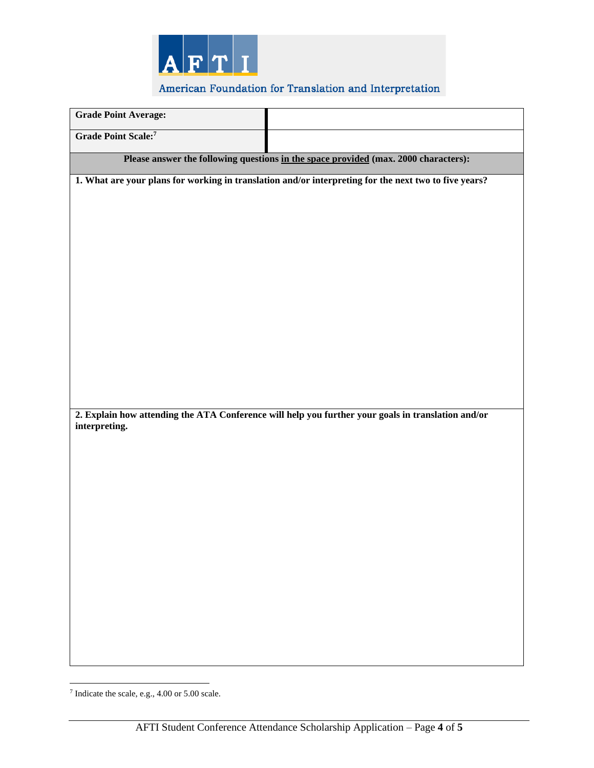

## American Foundation for Translation and Interpretation

| <b>Grade Point Average:</b> |                                                                                                       |
|-----------------------------|-------------------------------------------------------------------------------------------------------|
| <b>Grade Point Scale:</b> 7 |                                                                                                       |
|                             | Please answer the following questions in the space provided (max. 2000 characters):                   |
|                             | 1. What are your plans for working in translation and/or interpreting for the next two to five years? |
|                             |                                                                                                       |
|                             |                                                                                                       |
|                             |                                                                                                       |
|                             |                                                                                                       |
|                             |                                                                                                       |
|                             |                                                                                                       |
|                             |                                                                                                       |
|                             |                                                                                                       |
|                             |                                                                                                       |
|                             |                                                                                                       |
|                             | 2. Explain how attending the ATA Conference will help you further your goals in translation and/or    |
| interpreting.               |                                                                                                       |
|                             |                                                                                                       |
|                             |                                                                                                       |
|                             |                                                                                                       |
|                             |                                                                                                       |
|                             |                                                                                                       |
|                             |                                                                                                       |
|                             |                                                                                                       |
|                             |                                                                                                       |
|                             |                                                                                                       |
|                             |                                                                                                       |
|                             |                                                                                                       |

<sup>7</sup> Indicate the scale, e.g., 4.00 or 5.00 scale.